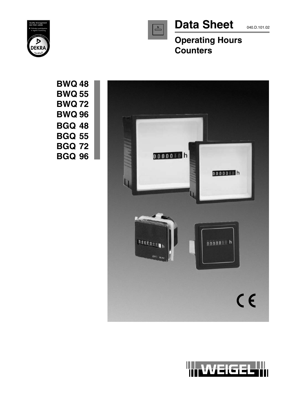



# Data Sheet 040.D.101.02

**Operating Hours Counters**

**BWQ 48 BWQ 55 BWQ 72 BWQ 96 BGQ 48 BGQ 55 BGQ 72 BGQ 96**



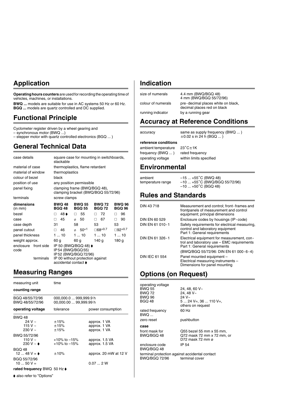### **Application**

**Operating hours counters** are used for recording the operating time of vehicles, machines, or installations.

**BWQ ...** models are suitable for use in AC systems 50 Hz or 60 Hz. **BGQ ...** models are quartz controlled and DC supplied.

### **Functional Principle**

Cyclometer register driven by a wheel gearing and – synchronous motor (BWQ ...)

– stepper motor with quartz controlled electronics (BGQ ... )

### **General Technical Data**

| case details                 |           | square case for mounting in switchboards,<br>stackable              |                                |    |                                               |       |                                |    |                                |
|------------------------------|-----------|---------------------------------------------------------------------|--------------------------------|----|-----------------------------------------------|-------|--------------------------------|----|--------------------------------|
| material of case             |           | thermoplastics, flame retardant                                     |                                |    |                                               |       |                                |    |                                |
| material of window           |           | thermoplastics                                                      |                                |    |                                               |       |                                |    |                                |
| colour of bezel              |           | black                                                               |                                |    |                                               |       |                                |    |                                |
| position of use              |           | any position permissible                                            |                                |    |                                               |       |                                |    |                                |
| panel fixing                 |           | clamping frame (BWQ/BGQ 48),<br>clamping bracket (BWQ/BGQ 55/72/96) |                                |    |                                               |       |                                |    |                                |
| terminals                    |           | screw clamps                                                        |                                |    |                                               |       |                                |    |                                |
| dimensions<br>(in mm)        |           |                                                                     | <b>BWQ 48</b><br><b>BGQ 48</b> |    | BWQ 55<br><b>BGQ 55</b>                       |       | <b>BWQ 72</b><br><b>BGQ 72</b> |    | <b>BWQ 96</b><br><b>BGQ 96</b> |
| hezel                        |           | П                                                                   | 48 ♦                           | □  | 55                                            | п     | 72                             |    | 96                             |
| case                         |           | п                                                                   | 45                             | Ø) | - 50                                          | П.    | 67                             | п  | 90                             |
| case depth                   |           | 31                                                                  |                                | 58 |                                               | 53    |                                | 53 |                                |
| panel cutout                 |           | П                                                                   | 46.                            |    | $\phi$ 50 <sup>+1</sup>                       |       | $\square 68^{+0.7}$            |    | $□92^{+0.7}$                   |
| panel thickness              |           |                                                                     | 110                            |    | 110                                           | 110   |                                |    | 110                            |
| weight approx.               |           |                                                                     | 60 g<br>140 a<br>60 a          |    |                                               | 180 g |                                |    |                                |
| enclosure front side<br>code |           |                                                                     | IP54 (BWQ/BGQ55)               |    | IP 50 (BWQ/BGQ 48) ♦<br>IP 52 (BWQ/BGQ 72/96) |       |                                |    |                                |
|                              | terminals |                                                                     | accidental contact ♦           |    | IP 00 without protection against              |       |                                |    |                                |

### **Measuring Ranges**

| measuring unit                                                           | time                                             |                                              |  |
|--------------------------------------------------------------------------|--------------------------------------------------|----------------------------------------------|--|
| counting range                                                           |                                                  |                                              |  |
| BGQ 48/55/72/96<br>BWQ 48/55/72/96                                       | 000,000.0  999,999.9 h<br>00,000.00  99,999.99 h |                                              |  |
| operating voltage                                                        | tolerance                                        | power consumption                            |  |
| <b>BWO 48</b><br>$24V -$<br>115 V $\sim$<br>230 V $\sim$<br>BWQ 55/72/96 | ±15%<br>±15%<br>±15%                             | approx. 1 VA<br>approx. 1 VA<br>approx. 1 VA |  |
| 110 V $\sim$<br>230 V ~ $\bullet$                                        | $+10\%$ to $-15\%$<br>$+10\%$ to $-15\%$         | approx. 1.5 VA<br>approx. 1.5 VA             |  |
| <b>BGO 48</b><br>12  48 V = $\bullet$                                    | ±10%                                             | approx. 20 mW at 12 V                        |  |
| BGQ 55/72/96<br>$1050V =$                                                |                                                  | 0.072W                                       |  |
| rated frequency BWQ 50 Hz ♦                                              |                                                  |                                              |  |

♦ also refer to "Options"

### **Indication**

| size of numerals   | 4.4 mm (BWQ/BGQ 48)<br>4 mm (BWQ/BGQ 55/72/96)                    |
|--------------------|-------------------------------------------------------------------|
| colour of numerals | pre-decimal places white on black,<br>decimal places red on black |
| running indicator  | by a running gear                                                 |
|                    |                                                                   |

### **Accuracy at Reference Conditions**

| accuracy | same as supply frequency (BWQ ) |
|----------|---------------------------------|
|          |                                 |

**reference conditions** ambient temperature  $23^{\circ}$ C $\pm$ 1K frequency (BWQ ... ) rated frequency<br>operating voltage within limits spee

within limits specified

 $\pm 0.02$  s in 24 h (BGQ ... )

### **Environmental**

| ambient           | $-15+55^{\circ}$ C (BWQ 48)    |
|-------------------|--------------------------------|
| temperature range | $-10$ +55°C (BWQ/BGQ 55/72/96) |
|                   | $-10+50^{\circ}$ C (BGQ 48)    |

### **Rules and Standards**

| DIN 43718             | Measurement and control; front-frames and<br>frontpanels of measurement and control<br>equipment; principal dimensions   |
|-----------------------|--------------------------------------------------------------------------------------------------------------------------|
| <b>DIN EN 60 529</b>  | Enclosure codes by housings (IP-code)                                                                                    |
| DIN EN 61 010-1       | Safety requirements for electrical measuring,<br>control and laboratory equipment<br>Part 1: General requirements        |
| DIN EN 61 326-1       | Electrical equipment for measurement, con-<br>trol and laboratory use - EMC requirements<br>Part 1: General requirements |
|                       | (BWQ/BGQ 55/72/96: DIN EN 61 000-6-4)                                                                                    |
| <b>DIN IEC 61 554</b> | Panel mounted equipment -<br>Electrical measuring instruments -<br>Dimensions for panel mounting                         |

### **Options (on Request)**

| operating voltage                              |                                                |
|------------------------------------------------|------------------------------------------------|
| <b>BWQ 55</b>                                  | 24, 48, 60 V~                                  |
| <b>BWQ 72</b>                                  | 24.48 V~                                       |
| <b>BWQ 96</b>                                  | $24$ V $\sim$                                  |
| <b>BGO 48</b>                                  | 5  24 V=, 36  110 V=,<br>others on request     |
| rated frequency<br>BWO                         | 60 Hz                                          |
| zero reset                                     | pushbutton                                     |
| case                                           |                                                |
| front mask for                                 | Q55 bezel 55 mm x 55 mm.                       |
| BWQ/BGQ 48                                     | Q72 mask 72 mm x 72 mm, or<br>D72 mask 72 mm ø |
| enclosure code                                 | IP 54                                          |
| BWQ/BGQ 48                                     |                                                |
| terminal protection against accidental contact |                                                |
| BWQ/BGQ 72/96 terminal cover                   |                                                |
|                                                |                                                |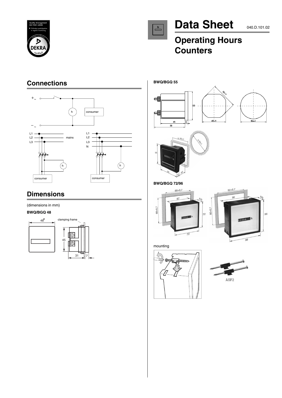



# Data Sheet 040.D.101.02

## **Operating Hours Counters**

### **Connections**



### **Dimensions**

(dimensions in mm)

#### **BWQ/BGQ 48**











ar